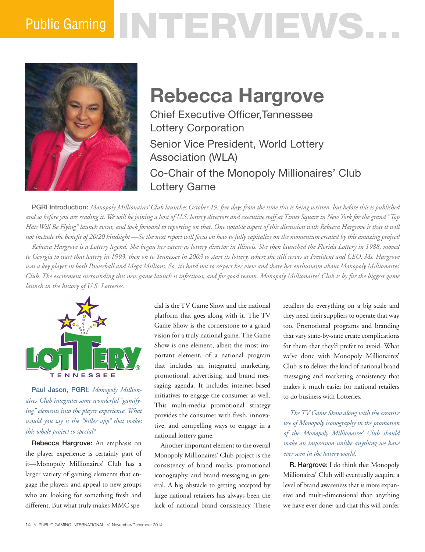# Public Gaming NTHERVIEWS.



## **Rebecca Hargrove**

Chief Executive Officer,Tennessee Lottery Corporation Senior Vice President, World Lottery Association (WLA) Co-Chair of the Monopoly Millionaires' Club Lottery Game

PGRI Introduction: *Monopoly Millionaires' Club launches October 19, five days from the time this is being written, but before this is published and so before you are reading it. We will be joining a host of U.S. lottery directors and executive staff at Times Square in New York for the grand "Top Hats Will Be Flying" launch event, and look forward to reporting on that. One notable aspect of this discussion with Rebecca Hargrove is that it will not include the benefit of 20/20 hindsight —So the next report will focus on how to fully capitalize on the momentum created by this amazing project! Rebecca Hargrove is a Lottery legend. She began her career as lottery director in Illinois. She then launched the Florida Lottery in 1988, moved* 

*to Georgia to start that lottery in 1993, then on to Tennessee in 2003 to start its lottery, where she still serves as President and CEO. Ms. Hargrove was a key player in both Powerball and Mega Millions. So, it's hard not to respect her view and share her enthusiasm about Monopoly Millionaires' Club. The excitement surrounding this new game launch is infectious, and for good reason. Monopoly Millionaires' Club is by far the biggest game launch in the history of U.S. Lotteries.* 



Paul Jason, PGRI: *Monopoly Millionaires' Club integrates some wonderful "gamifying" elements into the player experience. What would you say is the "killer app" that makes this whole project so special?*

Rebecca Hargrove: An emphasis on the player experience is certainly part of it—Monopoly Millionaires' Club has a larger variety of gaming elements that engage the players and appeal to new groups who are looking for something fresh and different. But what truly makes MMC spe-

cial is the TV Game Show and the national platform that goes along with it. The TV Game Show is the cornerstone to a grand vision for a truly national game. The Game Show is one element, albeit the most important element, of a national program that includes an integrated marketing, promotional, advertising, and brand messaging agenda. It includes internet-based initiatives to engage the consumer as well. This multi-media promotional strategy provides the consumer with fresh, innovative, and compelling ways to engage in a national lottery game.

Another important element to the overall Monopoly Millionaires' Club project is the consistency of brand marks, promotional iconography, and brand messaging in general. A big obstacle to getting accepted by large national retailers has always been the lack of national brand consistency. These retailers do everything on a big scale and they need their suppliers to operate that way too. Promotional programs and branding that vary state-by-state create complications for them that they'd prefer to avoid. What we've done with Monopoly Millionaires' Club is to deliver the kind of national brand messaging and marketing consistency that makes it much easier for national retailers to do business with Lotteries.

*The TV Game Show along with the creative use of Monopoly iconography in the promotion of the Monopoly Millionaires' Club should make an impression unlike anything we have ever seen in the lottery world.* 

R. Hargrove: I do think that Monopoly Millionaires' Club will eventually acquire a level of brand awareness that is more expansive and multi-dimensional than anything we have ever done; and that this will confer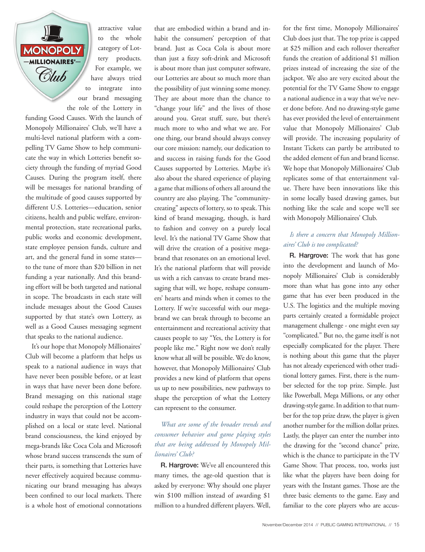**MONOPOLY** -MILLIONAIRES'-Club

attractive value to the whole category of Lottery products. For example, we have always tried to integrate into our brand messaging the role of the Lottery in

funding Good Causes. With the launch of Monopoly Millionaires' Club, we'll have a multi-level national platform with a compelling TV Game Show to help communicate the way in which Lotteries benefit society through the funding of myriad Good Causes. During the program itself, there will be messages for national branding of the multitude of good causes supported by different U.S. Lotteries—education, senior citizens, health and public welfare, environmental protection, state recreational parks, public works and economic development, state employee pension funds, culture and art, and the general fund in some states to the tune of more than \$20 billion in net funding a year nationally. And this branding effort will be both targeted and national in scope. The broadcasts in each state will include messages about the Good Causes supported by that state's own Lottery, as well as a Good Causes messaging segment that speaks to the national audience.

It's our hope that Monopoly Millionaires' Club will become a platform that helps us speak to a national audience in ways that have never been possible before, or at least in ways that have never been done before. Brand messaging on this national stage could reshape the perception of the Lottery industry in ways that could not be accomplished on a local or state level. National brand consciousness, the kind enjoyed by mega-brands like Coca Cola and Microsoft whose brand success transcends the sum of their parts, is something that Lotteries have never effectively acquired because communicating our brand messaging has always been confined to our local markets. There is a whole host of emotional connotations

that are embodied within a brand and inhabit the consumers' perception of that brand. Just as Coca Cola is about more than just a fizzy soft-drink and Microsoft is about more than just computer software, our Lotteries are about so much more than the possibility of just winning some money. They are about more than the chance to "change your life" and the lives of those around you. Great stuff, sure, but there's much more to who and what we are. For one thing, our brand should always convey our core mission: namely, our dedication to and success in raising funds for the Good Causes supported by Lotteries. Maybe it's also about the shared experience of playing a game that millions of others all around the country are also playing. The "communitycreating" aspects of lottery, so to speak. This kind of brand messaging, though, is hard to fashion and convey on a purely local level. It's the national TV Game Show that will drive the creation of a positive megabrand that resonates on an emotional level. It's the national platform that will provide us with a rich canvass to create brand messaging that will, we hope, reshape consumers' hearts and minds when it comes to the Lottery. If we're successful with our megabrand we can break through to become an entertainment and recreational activity that causes people to say "Yes, the Lottery is for people like me." Right now we don't really know what all will be possible. We do know, however, that Monopoly Millionaires' Club provides a new kind of platform that opens us up to new possibilities, new pathways to shape the perception of what the Lottery can represent to the consumer.

#### *What are some of the broader trends and consumer behavior and game playing styles that are being addressed by Monopoly Millionaires' Club?*

R. Hargrove: We've all encountered this many times, the age-old question that is asked by everyone: Why should one player win \$100 million instead of awarding \$1 million to a hundred different players. Well,

for the first time, Monopoly Millionaires' Club does just that. The top prize is capped at \$25 million and each rollover thereafter funds the creation of additional \$1 million prizes instead of increasing the size of the jackpot. We also are very excited about the potential for the TV Game Show to engage a national audience in a way that we've never done before. And no drawing-style game has ever provided the level of entertainment value that Monopoly Millionaires' Club will provide. The increasing popularity of Instant Tickets can partly be attributed to the added element of fun and brand license. We hope that Monopoly Millionaires' Club replicates some of that entertainment value. There have been innovations like this in some locally based drawing games, but nothing like the scale and scope we'll see with Monopoly Millionaires' Club.

#### *Is there a concern that Monopoly Millionaires' Club is too complicated?*

R. Hargrove: The work that has gone into the development and launch of Monopoly Millionaires' Club is considerably more than what has gone into any other game that has ever been produced in the U.S. The logistics and the multiple moving parts certainly created a formidable project management challenge - one might even say "complicated." But no, the game itself is not especially complicated for the player. There is nothing about this game that the player has not already experienced with other traditional lottery games. First, there is the number selected for the top prize. Simple. Just like Powerball, Mega Millions, or any other drawing-style game. In addition to that number for the top prize draw, the player is given another number for the million dollar prizes. Lastly, the player can enter the number into the drawing for the "second chance" prize, which is the chance to participate in the TV Game Show. That process, too, works just like what the players have been doing for years with the Instant games. Those are the three basic elements to the game. Easy and familiar to the core players who are accus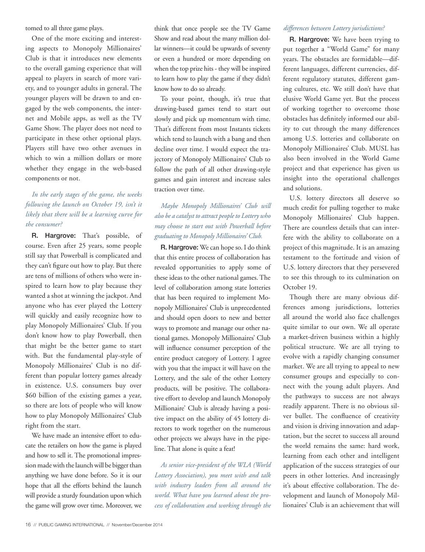tomed to all three game plays.

One of the more exciting and interesting aspects to Monopoly Millionaires' Club is that it introduces new elements to the overall gaming experience that will appeal to players in search of more variety, and to younger adults in general. The younger players will be drawn to and engaged by the web components, the internet and Mobile apps, as well as the TV Game Show. The player does not need to participate in these other optional plays. Players still have two other avenues in which to win a million dollars or more whether they engage in the web-based components or not.

### *In the early stages of the game, the weeks following the launch on October 19, isn't it likely that there will be a learning curve for the consumer?*

R. Hargrove: That's possible, of course. Even after 25 years, some people still say that Powerball is complicated and they can't figure out how to play. But there are tens of millions of others who were inspired to learn how to play because they wanted a shot at winning the jackpot. And anyone who has ever played the Lottery will quickly and easily recognize how to play Monopoly Millionaires' Club. If you don't know how to play Powerball, then that might be the better game to start with. But the fundamental play-style of Monopoly Millionaires' Club is no different than popular lottery games already in existence. U.S. consumers buy over \$60 billion of the existing games a year, so there are lots of people who will know how to play Monopoly Millionaires' Club right from the start.

We have made an intensive effort to educate the retailers on how the game is played and how to sell it. The promotional impression made with the launch will be bigger than anything we have done before. So it is our hope that all the efforts behind the launch will provide a sturdy foundation upon which the game will grow over time. Moreover, we think that once people see the TV Game Show and read about the many million dollar winners—it could be upwards of seventy or even a hundred or more depending on when the top prize hits - they will be inspired to learn how to play the game if they didn't know how to do so already.

To your point, though, it's true that drawing-based games tend to start out slowly and pick up momentum with time. That's different from most Instants tickets which tend to launch with a bang and then decline over time. I would expect the trajectory of Monopoly Millionaires' Club to follow the path of all other drawing-style games and gain interest and increase sales traction over time.

#### *Maybe Monopoly Millionaires' Club will also be a catalyst to attract people to Lottery who may choose to start out with Powerball before graduating to Monopoly Millionaires' Club.*

R. Hargrove: We can hope so. I do think that this entire process of collaboration has revealed opportunities to apply some of these ideas to the other national games. The level of collaboration among state lotteries that has been required to implement Monopoly Millionaires' Club is unprecedented and should open doors to new and better ways to promote and manage our other national games. Monopoly Millionaires' Club will influence consumer perception of the entire product category of Lottery. I agree with you that the impact it will have on the Lottery, and the sale of the other Lottery products, will be positive. The collaborative effort to develop and launch Monopoly Millionaire' Club is already having a positive impact on the ability of 45 lottery directors to work together on the numerous other projects we always have in the pipeline. That alone is quite a feat!

*As senior vice-president of the WLA (World Lottery Association), you meet with and talk with industry leaders from all around the world. What have you learned about the process of collaboration and working through the* 

#### *differences between Lottery jurisdictions?*

R. Hargrove: We have been trying to put together a "World Game" for many years. The obstacles are formidable—different languages, different currencies, different regulatory statutes, different gaming cultures, etc. We still don't have that elusive World Game yet. But the process of working together to overcome those obstacles has definitely informed our ability to cut through the many differences among U.S. lotteries and collaborate on Monopoly Millionaires' Club. MUSL has also been involved in the World Game project and that experience has given us insight into the operational challenges and solutions.

U.S. lottery directors all deserve so much credit for pulling together to make Monopoly Millionaires' Club happen. There are countless details that can interfere with the ability to collaborate on a project of this magnitude. It is an amazing testament to the fortitude and vision of U.S. lottery directors that they persevered to see this through to its culmination on October 19.

Though there are many obvious differences among jurisdictions, lotteries all around the world also face challenges quite similar to our own. We all operate a market-driven business within a highly political structure. We are all trying to evolve with a rapidly changing consumer market. We are all trying to appeal to new consumer groups and especially to connect with the young adult players. And the pathways to success are not always readily apparent. There is no obvious silver bullet. The confluence of creativity and vision is driving innovation and adaptation, but the secret to success all around the world remains the same: hard work, learning from each other and intelligent application of the success strategies of our peers in other lotteries. And increasingly it's about effective collaboration. The development and launch of Monopoly Millionaires' Club is an achievement that will